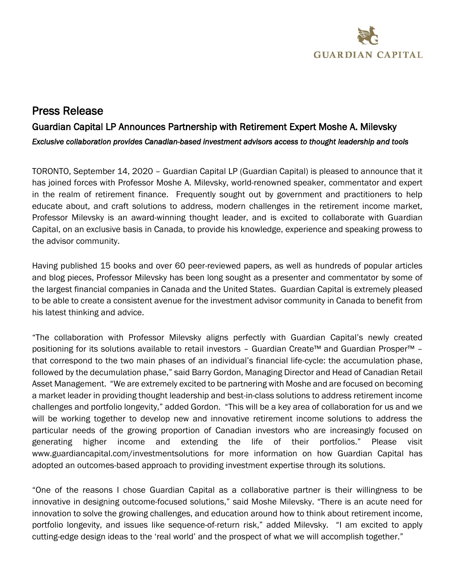

# Press Release

# Guardian Capital LP Announces Partnership with Retirement Expert Moshe A. Milevsky *Exclusive collaboration provides Canadian-based investment advisors access to thought leadership and tools*

TORONTO, September 14, 2020 – Guardian Capital LP (Guardian Capital) is pleased to announce that it has joined forces with Professor Moshe A. Milevsky, world-renowned speaker, commentator and expert in the realm of retirement finance. Frequently sought out by government and practitioners to help educate about, and craft solutions to address, modern challenges in the retirement income market, Professor Milevsky is an award-winning thought leader, and is excited to collaborate with Guardian Capital, on an exclusive basis in Canada, to provide his knowledge, experience and speaking prowess to the advisor community.

Having published 15 books and over 60 peer-reviewed papers, as well as hundreds of popular articles and blog pieces, Professor Milevsky has been long sought as a presenter and commentator by some of the largest financial companies in Canada and the United States. Guardian Capital is extremely pleased to be able to create a consistent avenue for the investment advisor community in Canada to benefit from his latest thinking and advice.

"The collaboration with Professor Milevsky aligns perfectly with Guardian Capital's newly created positioning for its solutions available to retail investors – Guardian Create™ and Guardian Prosper™ – that correspond to the two main phases of an individual's financial life-cycle: the accumulation phase, followed by the decumulation phase," said Barry Gordon, Managing Director and Head of Canadian Retail Asset Management. "We are extremely excited to be partnering with Moshe and are focused on becoming a market leader in providing thought leadership and best-in-class solutions to address retirement income challenges and portfolio longevity," added Gordon. "This will be a key area of collaboration for us and we will be working together to develop new and innovative retirement income solutions to address the particular needs of the growing proportion of Canadian investors who are increasingly focused on generating higher income and extending the life of their portfolios." Please visit www.guardiancapital.com/investmentsolutions for more information on how Guardian Capital has adopted an outcomes-based approach to providing investment expertise through its solutions.

"One of the reasons I chose Guardian Capital as a collaborative partner is their willingness to be innovative in designing outcome-focused solutions," said Moshe Milevsky. "There is an acute need for innovation to solve the growing challenges, and education around how to think about retirement income, portfolio longevity, and issues like sequence-of-return risk," added Milevsky. "I am excited to apply cutting-edge design ideas to the 'real world' and the prospect of what we will accomplish together."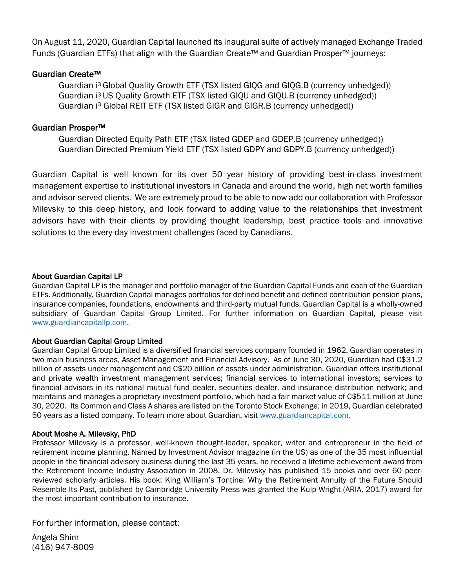On August 11, 2020, Guardian Capital launched its inaugural suite of actively managed Exchange Traded Funds (Guardian ETFs) that align with the Guardian Create™ and Guardian Prosper™ journeys:

# Guardian Create™

Guardian i <sup>3</sup> Global Quality Growth ETF (TSX listed GIQG and GIQG.B (currency unhedged)) Guardian i <sup>3</sup> US Quality Growth ETF (TSX listed GIQU and GIQU.B (currency unhedged)) Guardian i<sup>3</sup> Global REIT ETF (TSX listed GIGR and GIGR.B (currency unhedged))

# Guardian Prosper™

Guardian Directed Equity Path ETF (TSX listed GDEP and GDEP.B (currency unhedged)) Guardian Directed Premium Yield ETF (TSX listed GDPY and GDPY.B (currency unhedged))

Guardian Capital is well known for its over 50 year history of providing best-in-class investment management expertise to institutional investors in Canada and around the world, high net worth families and advisor-served clients. We are extremely proud to be able to now add our collaboration with Professor Milevsky to this deep history, and look forward to adding value to the relationships that investment advisors have with their clients by providing thought leadership, best practice tools and innovative solutions to the every-day investment challenges faced by Canadians.

### About Guardian Capital LP

Guardian Capital LP is the manager and portfolio manager of the Guardian Capital Funds and each of the Guardian ETFs. Additionally, Guardian Capital manages portfolios for defined benefit and defined contribution pension plans, insurance companies, foundations, endowments and third-party mutual funds. Guardian Capital is a wholly-owned subsidiary of Guardian Capital Group Limited. For further information on Guardian Capital, please visit [www.guardiancapitallp.com](http://www.guardiancapitallp.com/).

### About Guardian Capital Group Limited

Guardian Capital Group Limited is a diversified financial services company founded in 1962. Guardian operates in two main business areas, Asset Management and Financial Advisory. As of June 30, 2020, Guardian had C\$31.2 billion of assets under management and C\$20 billion of assets under administration. Guardian offers institutional and private wealth investment management services; financial services to international investors; services to financial advisors in its national mutual fund dealer, securities dealer, and insurance distribution network; and maintains and manages a proprietary investment portfolio, which had a fair market value of C\$511 million at June 30, 2020. Its Common and Class A shares are listed on the Toronto Stock Exchange; in 2019, Guardian celebrated 50 years as a listed company. To learn more about Guardian, visi[t www.guardiancapital.com.](http://www.guardiancapital.com/)

### About Moshe A. Milevsky, PhD

Professor Milevsky is a professor, well-known thought-leader, speaker, writer and entrepreneur in the field of retirement income planning. Named by Investment Advisor magazine (in the US) as one of the 35 most influential people in the financial advisory business during the last 35 years, he received a lifetime achievement award from the Retirement Income Industry Association in 2008. Dr. Milevsky has published 15 books and over 60 peerreviewed scholarly articles. His book: King William's Tontine: Why the Retirement Annuity of the Future Should Resemble Its Past, published by Cambridge University Press was granted the Kulp-Wright (ARIA, 2017) award for the most important contribution to insurance.

For further information, please contact:

Angela Shim (416) 947-8009